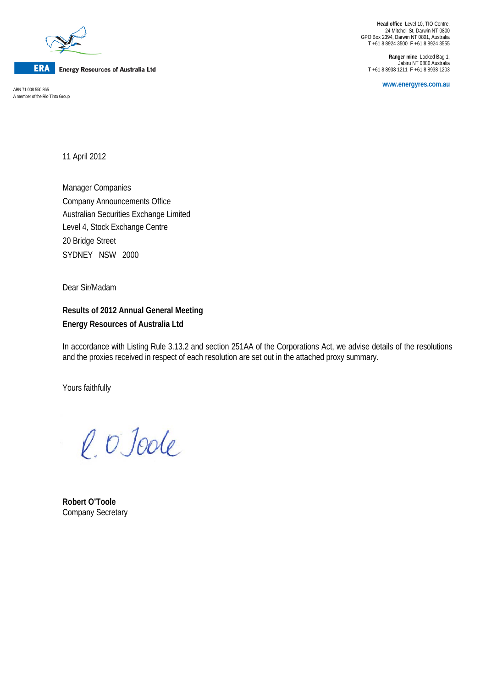

**Energy Resources of Australia Ltd** 

**www.energyres.com.au** ABN 71 008 550 865 A member of the Rio Tinto Group

**Head office** Level 10, TIO Centre, 24 Mitchell St, Darwin NT 0800 GPO Box 2394, Darwin NT 0801, Australia **T** +61 8 8924 3500 **F** +61 8 8924 3555

**Ranger mine** Locked Bag 1, Jabiru NT 0886 Australia **T** +61 8 8938 1211 **F** +61 8 8938 1203

11 April 2012

Manager Companies Company Announcements Office Australian Securities Exchange Limited Level 4, Stock Exchange Centre 20 Bridge Street SYDNEY NSW 2000

Dear Sir/Madam

**Results of 2012 Annual General Meeting Energy Resources of Australia Ltd**

In accordance with Listing Rule 3.13.2 and section 251AA of the Corporations Act, we advise details of the resolutions and the proxies received in respect of each resolution are set out in the attached proxy summary.

Yours faithfully

l. O'Joole

**Robert O'Toole** Company Secretary